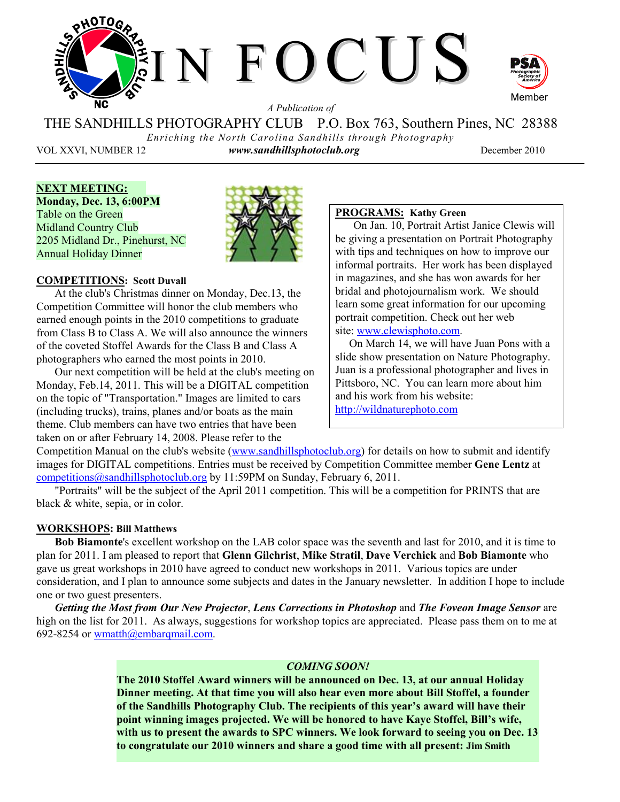

*A Publication of* 

THE SANDHILLS PHOTOGRAPHY CLUB P.O. Box 763, Southern Pines, NC 28388 *Enriching the North Carolina Sandhills through Photography* 

VOL XXVI, NUMBER 12 *www.sandhillsphotoclub.org* December 2010

**NEXT MEETING: Monday, Dec. 13, 6:00PM**  Table on the Green Midland Country Club 2205 Midland Dr., Pinehurst, NC Annual Holiday Dinner



# **COMPETITIONS: Scott Duvall**

At the club's Christmas dinner on Monday, Dec.13, the Competition Committee will honor the club members who earned enough points in the 2010 competitions to graduate from Class B to Class A. We will also announce the winners of the coveted Stoffel Awards for the Class B and Class A photographers who earned the most points in 2010.

Our next competition will be held at the club's meeting on Monday, Feb.14, 2011. This will be a DIGITAL competition on the topic of "Transportation." Images are limited to cars (including trucks), trains, planes and/or boats as the main theme. Club members can have two entries that have been taken on or after February 14, 2008. Please refer to the

# **PROGRAMS: Kathy Green**

On Jan. 10, Portrait Artist Janice Clewis will be giving a presentation on Portrait Photography with tips and techniques on how to improve our informal portraits. Her work has been displayed in magazines, and she has won awards for her bridal and photojournalism work. We should learn some great information for our upcoming portrait competition. Check out her web site: www.clewisphoto.com.

 On March 14, we will have Juan Pons with a slide show presentation on Nature Photography. Juan is a professional photographer and lives in Pittsboro, NC. You can learn more about him and his work from his website: http://wildnaturephoto.com

Competition Manual on the club's website (www.sandhillsphotoclub.org) for details on how to submit and identify images for DIGITAL competitions. Entries must be received by Competition Committee member **Gene Lentz** at competitions@sandhillsphotoclub.org by 11:59PM on Sunday, February 6, 2011.

"Portraits" will be the subject of the April 2011 competition. This will be a competition for PRINTS that are black & white, sepia, or in color.

## **WORKSHOPS: Bill Matthews**

**Bob Biamonte**'s excellent workshop on the LAB color space was the seventh and last for 2010, and it is time to plan for 2011. I am pleased to report that **Glenn Gilchrist**, **Mike Stratil**, **Dave Verchick** and **Bob Biamonte** who gave us great workshops in 2010 have agreed to conduct new workshops in 2011. Various topics are under consideration, and I plan to announce some subjects and dates in the January newsletter. In addition I hope to include one or two guest presenters.

*Getting the Most from Our New Projector*, *Lens Corrections in Photoshop* and *The Foveon Image Sensor* are high on the list for 2011. As always, suggestions for workshop topics are appreciated. Please pass them on to me at 692-8254 or wmatth@embarqmail.com.

#### *COMING SOON!*

**The 2010 Stoffel Award winners will be announced on Dec. 13, at our annual Holiday Dinner meeting. At that time you will also hear even more about Bill Stoffel, a founder of the Sandhills Photography Club. The recipients of this year's award will have their point winning images projected. We will be honored to have Kaye Stoffel, Bill's wife, with us to present the awards to SPC winners. We look forward to seeing you on Dec. 13 to congratulate our 2010 winners and share a good time with all present: Jim Smith**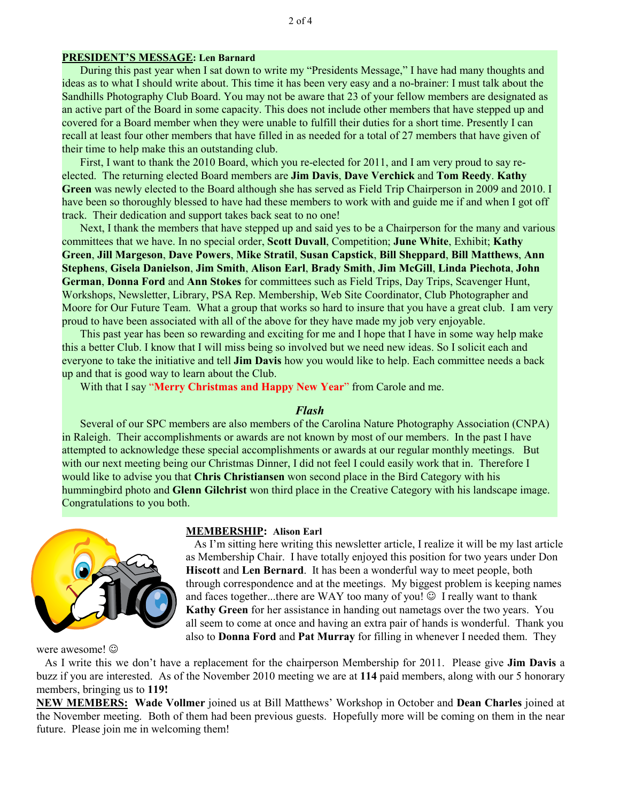#### **PRESIDENT'S MESSAGE: Len Barnard**

During this past year when I sat down to write my "Presidents Message," I have had many thoughts and ideas as to what I should write about. This time it has been very easy and a no-brainer: I must talk about the Sandhills Photography Club Board. You may not be aware that 23 of your fellow members are designated as an active part of the Board in some capacity. This does not include other members that have stepped up and covered for a Board member when they were unable to fulfill their duties for a short time. Presently I can recall at least four other members that have filled in as needed for a total of 27 members that have given of their time to help make this an outstanding club.

First, I want to thank the 2010 Board, which you re-elected for 2011, and I am very proud to say reelected. The returning elected Board members are **Jim Davis**, **Dave Verchick** and **Tom Reedy**. **Kathy Green** was newly elected to the Board although she has served as Field Trip Chairperson in 2009 and 2010. I have been so thoroughly blessed to have had these members to work with and guide me if and when I got off track. Their dedication and support takes back seat to no one!

Next, I thank the members that have stepped up and said yes to be a Chairperson for the many and various committees that we have. In no special order, **Scott Duvall**, Competition; **June White**, Exhibit; **Kathy Green**, **Jill Margeson**, **Dave Powers**, **Mike Stratil**, **Susan Capstick**, **Bill Sheppard**, **Bill Matthews**, **Ann Stephens**, **Gisela Danielson**, **Jim Smith**, **Alison Earl**, **Brady Smith**, **Jim McGill**, **Linda Piechota**, **John German**, **Donna Ford** and **Ann Stokes** for committees such as Field Trips, Day Trips, Scavenger Hunt, Workshops, Newsletter, Library, PSA Rep. Membership, Web Site Coordinator, Club Photographer and Moore for Our Future Team. What a group that works so hard to insure that you have a great club. I am very proud to have been associated with all of the above for they have made my job very enjoyable.

This past year has been so rewarding and exciting for me and I hope that I have in some way help make this a better Club. I know that I will miss being so involved but we need new ideas. So I solicit each and everyone to take the initiative and tell **Jim Davis** how you would like to help. Each committee needs a back up and that is good way to learn about the Club.

With that I say "**Merry Christmas and Happy New Year**" from Carole and me.

#### *Flash*

Several of our SPC members are also members of the Carolina Nature Photography Association (CNPA) in Raleigh. Their accomplishments or awards are not known by most of our members. In the past I have attempted to acknowledge these special accomplishments or awards at our regular monthly meetings. But with our next meeting being our Christmas Dinner, I did not feel I could easily work that in. Therefore I would like to advise you that **Chris Christiansen** won second place in the Bird Category with his hummingbird photo and **Glenn Gilchrist** won third place in the Creative Category with his landscape image. Congratulations to you both.



were awesome!  $\odot$ 

#### **MEMBERSHIP: Alison Earl**

 As I'm sitting here writing this newsletter article, I realize it will be my last article as Membership Chair. I have totally enjoyed this position for two years under Don **Hiscott** and **Len Bernard**. It has been a wonderful way to meet people, both through correspondence and at the meetings. My biggest problem is keeping names and faces together...there are WAY too many of you!  $\odot$  I really want to thank **Kathy Green** for her assistance in handing out nametags over the two years. You all seem to come at once and having an extra pair of hands is wonderful. Thank you also to **Donna Ford** and **Pat Murray** for filling in whenever I needed them. They

 As I write this we don't have a replacement for the chairperson Membership for 2011. Please give **Jim Davis** a buzz if you are interested. As of the November 2010 meeting we are at **114** paid members, along with our 5 honorary members, bringing us to **119!** 

**NEW MEMBERS: Wade Vollmer** joined us at Bill Matthews' Workshop in October and **Dean Charles** joined at the November meeting. Both of them had been previous guests. Hopefully more will be coming on them in the near future. Please join me in welcoming them!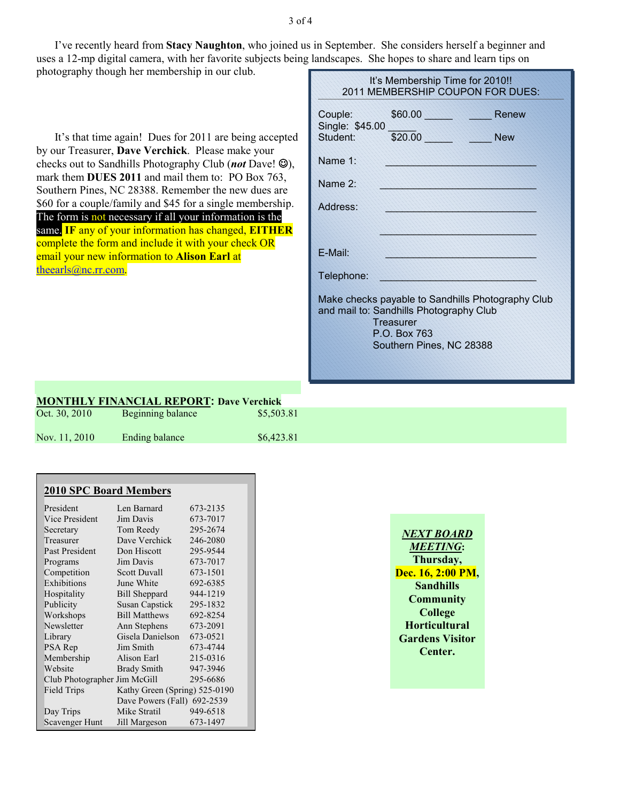I've recently heard from **Stacy Naughton**, who joined us in September. She considers herself a beginner and uses a 12-mp digital camera, with her favorite subjects being landscapes. She hopes to share and learn tips on photography though her membership in our club.

It's that time again! Dues for 2011 are being accepted by our Treasurer, **Dave Verchick**. Please make your checks out to Sandhills Photography Club (*not* Dave! ☺), mark them **DUES 2011** and mail them to: PO Box 763, Southern Pines, NC 28388. Remember the new dues are \$60 for a couple/family and \$45 for a single membership. The form is not necessary if all your information is the same. **IF** any of your information has changed, **EITHER** complete the form and include it with your check OR email your new information to **Alison Earl** at theearls@nc.rr.com.

| It's Membership Time for 2010!!<br>2011 MEMBERSHIP COUPON FOR DUES: |                                                                                                                                                       |       |  |  |
|---------------------------------------------------------------------|-------------------------------------------------------------------------------------------------------------------------------------------------------|-------|--|--|
| Couple:                                                             | \$60.00<br>Single: \$45.00<br>Student: \$20.00 New                                                                                                    | Renew |  |  |
|                                                                     |                                                                                                                                                       |       |  |  |
| Name 1:                                                             | 47447447447447474                                                                                                                                     |       |  |  |
| Name 2:                                                             | 222222222222222222222222                                                                                                                              |       |  |  |
| Address:                                                            |                                                                                                                                                       |       |  |  |
|                                                                     |                                                                                                                                                       |       |  |  |
| F-Mail:                                                             |                                                                                                                                                       |       |  |  |
| Telephone:                                                          |                                                                                                                                                       |       |  |  |
|                                                                     | Make checks payable to Sandhills Photography Club<br>and mail to: Sandhills Photography Club<br>Treasurer<br>P.O. Box 763<br>Southern Pines, NC 28388 |       |  |  |

# **MONTHLY FINANCIAL REPORT: Dave Verchick**

| Oct. 30, 2010 | Beginning balance | \$5,503.81 |
|---------------|-------------------|------------|
| Nov. 11, 2010 | Ending balance    | \$6,423.81 |

| <b>2010 SPC Board Members</b> |                               |          |  |  |
|-------------------------------|-------------------------------|----------|--|--|
| President                     | Len Barnard                   | 673-2135 |  |  |
| Vice President                | Jim Davis                     | 673-7017 |  |  |
| Secretary                     | Tom Reedy                     | 295-2674 |  |  |
| Treasurer                     | Dave Verchick                 | 246-2080 |  |  |
| Past President                | Don Hiscott                   | 295-9544 |  |  |
| Programs                      | Jim Davis                     | 673-7017 |  |  |
| Competition                   | <b>Scott Duvall</b>           | 673-1501 |  |  |
| Exhibitions                   | June White                    | 692-6385 |  |  |
| Hospitality                   | <b>Bill Sheppard</b>          | 944-1219 |  |  |
| Publicity                     | <b>Susan Capstick</b>         | 295-1832 |  |  |
| Workshops                     | <b>Bill Matthews</b>          | 692-8254 |  |  |
| Newsletter                    | Ann Stephens                  | 673-2091 |  |  |
| Library                       | Gisela Danielson              | 673-0521 |  |  |
| PSA Rep                       | Jim Smith                     | 673-4744 |  |  |
| Membership                    | Alison Earl                   | 215-0316 |  |  |
| Website                       | <b>Brady Smith</b>            | 947-3946 |  |  |
| Club Photographer Jim McGill  |                               | 295-6686 |  |  |
| Field Trips                   | Kathy Green (Spring) 525-0190 |          |  |  |
|                               | Dave Powers (Fall) 692-2539   |          |  |  |
| Day Trips                     | Mike Stratil                  | 949-6518 |  |  |
| Scavenger Hunt                | Jill Margeson                 | 673-1497 |  |  |

| <i>NEXT BOARD</i>      |
|------------------------|
| <b>MEETING:</b>        |
| Thursday,              |
| Dec. 16, 2:00 PM,      |
| <b>Sandhills</b>       |
| <b>Community</b>       |
| <b>College</b>         |
| <b>Horticultural</b>   |
| <b>Gardens Visitor</b> |
| Center.                |
|                        |